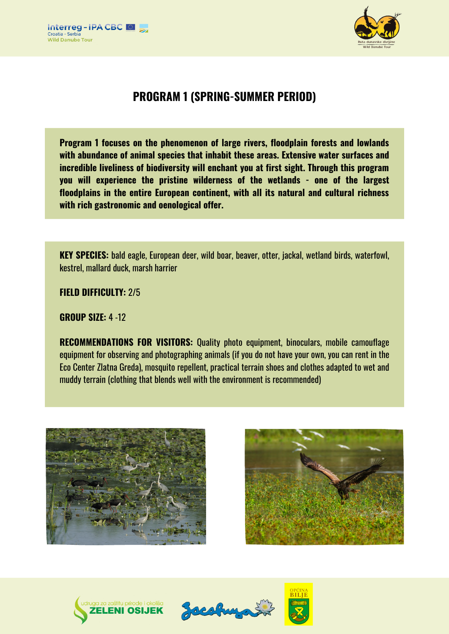



# **PROGRAM 1 (SPRING-SUMMER PERIOD)**

**Program 1 focuses on the phenomenon of large rivers, floodplain forests and lowlands with abundance of animal species that inhabit these areas. Extensive water surfaces and incredible liveliness of biodiversity will enchant you at first sight. Through this program you will experience the pristine wilderness of the wetlands - one of the largest floodplains in the entire European continent, with all its natural and cultural richness with rich gastronomic and oenological offer.**

**KEY SPECIES:** bald eagle, European deer, wild boar, beaver, otter, jackal, wetland birds, waterfowl, kestrel, mallard duck, marsh harrier

**FIELD DIFFICULTY:** 2/5

**GROUP SIZE:** 4 -12

**RECOMMENDATIONS FOR VISITORS:** Quality photo equipment, binoculars, mobile camouflage equipment for observing and photographing animals (if you do not have your own, you can rent in the Eco Center Zlatna Greda), mosquito repellent, practical terrain shoes and clothes adapted to wet and muddy terrain (clothing that blends well with the environment is recommended)









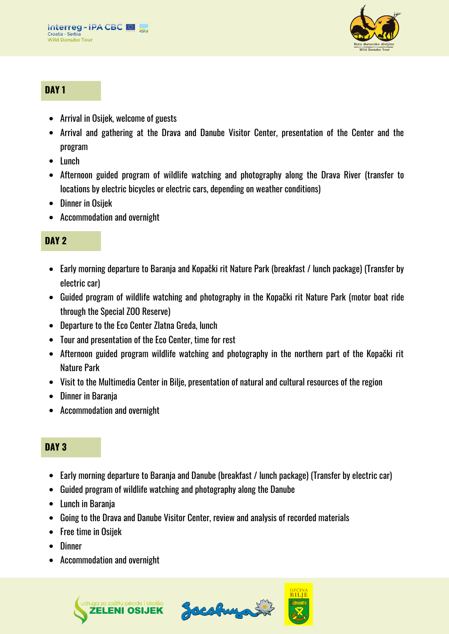

### **DAY 1**

- Arrival in Osijek, welcome of guests
- Arrival and gathering at the Drava and Danube Visitor Center, presentation of the Center and the program
- Lunch
- Afternoon guided program of wildlife watching and photography along the Drava River (transfer to locations by electric bicycles or electric cars, depending on weather conditions)
- Dinner in Osijek
- Accommodation and overnight

## **DAY 2**

- Early morning departure to Baranja and Kopački rit Nature Park (breakfast / lunch package) (Transfer by electric car)
- Guided program of wildlife watching and photography in the Kopački rit Nature Park (motor boat ride through the Special ZOO Reserve)
- Departure to the Eco Center Zlatna Greda, lunch
- Tour and presentation of the Eco Center, time for rest
- Afternoon guided program wildlife watching and photography in the northern part of the Kopački rit Nature Park
- Visit to the Multimedia Center in Bilje, presentation of natural and cultural resources of the region
- Dinner in Barania
- Accommodation and overnight

## **DAY 3**

- Early morning departure to Baranja and Danube (breakfast / lunch package) (Transfer by electric car)
- Guided program of wildlife watching and photography along the Danube
- Lunch in Baranja
- Going to the Drava and Danube Visitor Center, review and analysis of recorded materials
- Free time in Osijek
- Dinner
- Accommodation and overnight